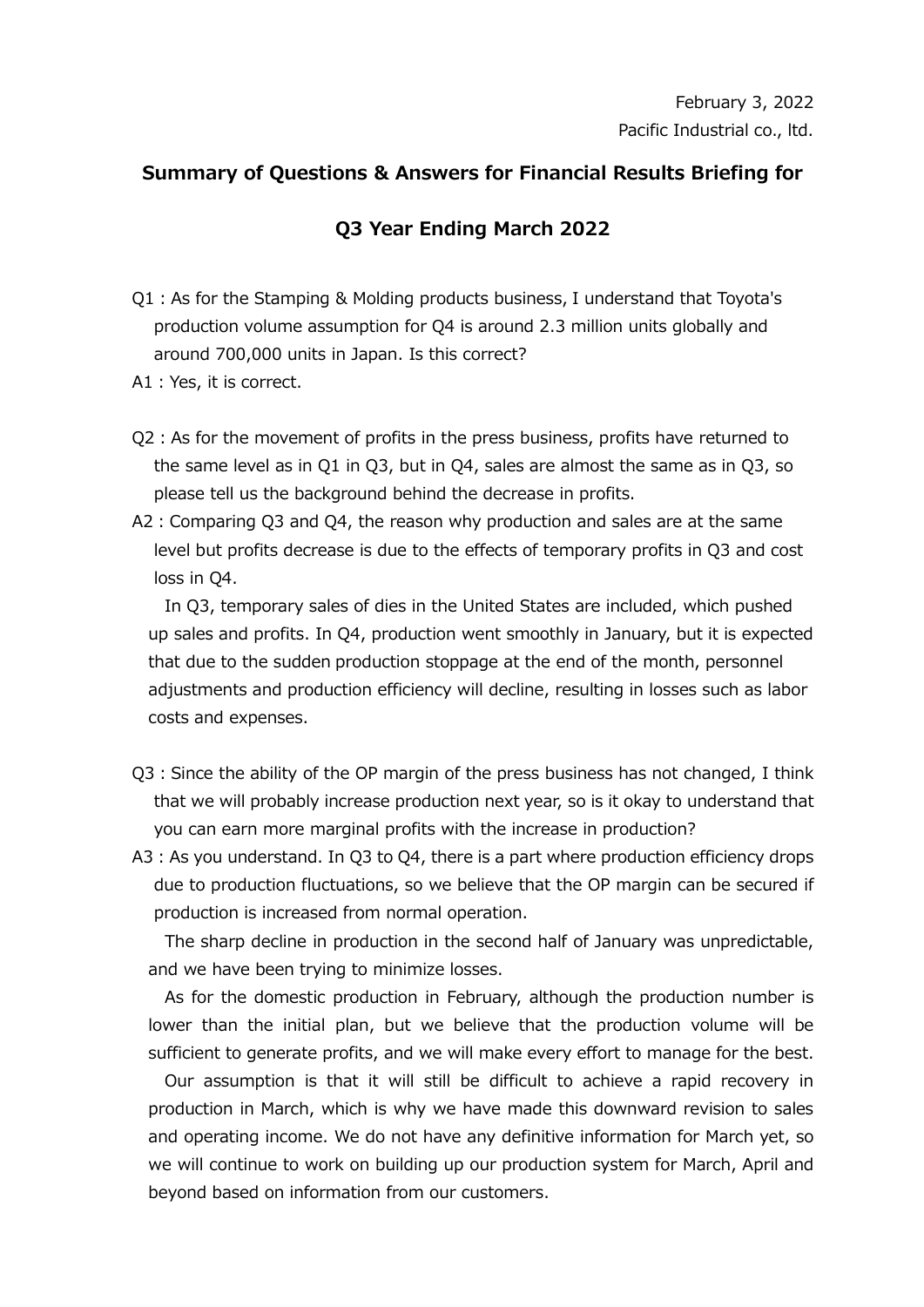## **Summary of Questions & Answers for Financial Results Briefing for**

## **Q3 Year Ending March 2022**

- Q1:As for the Stamping & Molding products business, I understand that Toyota's production volume assumption for Q4 is around 2.3 million units globally and around 700,000 units in Japan. Is this correct?
- A1:Yes, it is correct.
- Q2:As for the movement of profits in the press business, profits have returned to the same level as in Q1 in Q3, but in Q4, sales are almost the same as in Q3, so please tell us the background behind the decrease in profits.
- A2:Comparing Q3 and Q4, the reason why production and sales are at the same level but profits decrease is due to the effects of temporary profits in Q3 and cost loss in Q4.

In Q3, temporary sales of dies in the United States are included, which pushed up sales and profits. In Q4, production went smoothly in January, but it is expected that due to the sudden production stoppage at the end of the month, personnel adjustments and production efficiency will decline, resulting in losses such as labor costs and expenses.

- Q3:Since the ability of the OP margin of the press business has not changed, I think that we will probably increase production next year, so is it okay to understand that you can earn more marginal profits with the increase in production?
- A3:As you understand. In Q3 to Q4, there is a part where production efficiency drops due to production fluctuations, so we believe that the OP margin can be secured if production is increased from normal operation.

The sharp decline in production in the second half of January was unpredictable, and we have been trying to minimize losses.

As for the domestic production in February, although the production number is lower than the initial plan, but we believe that the production volume will be sufficient to generate profits, and we will make every effort to manage for the best.

Our assumption is that it will still be difficult to achieve a rapid recovery in production in March, which is why we have made this downward revision to sales and operating income. We do not have any definitive information for March yet, so we will continue to work on building up our production system for March, April and beyond based on information from our customers.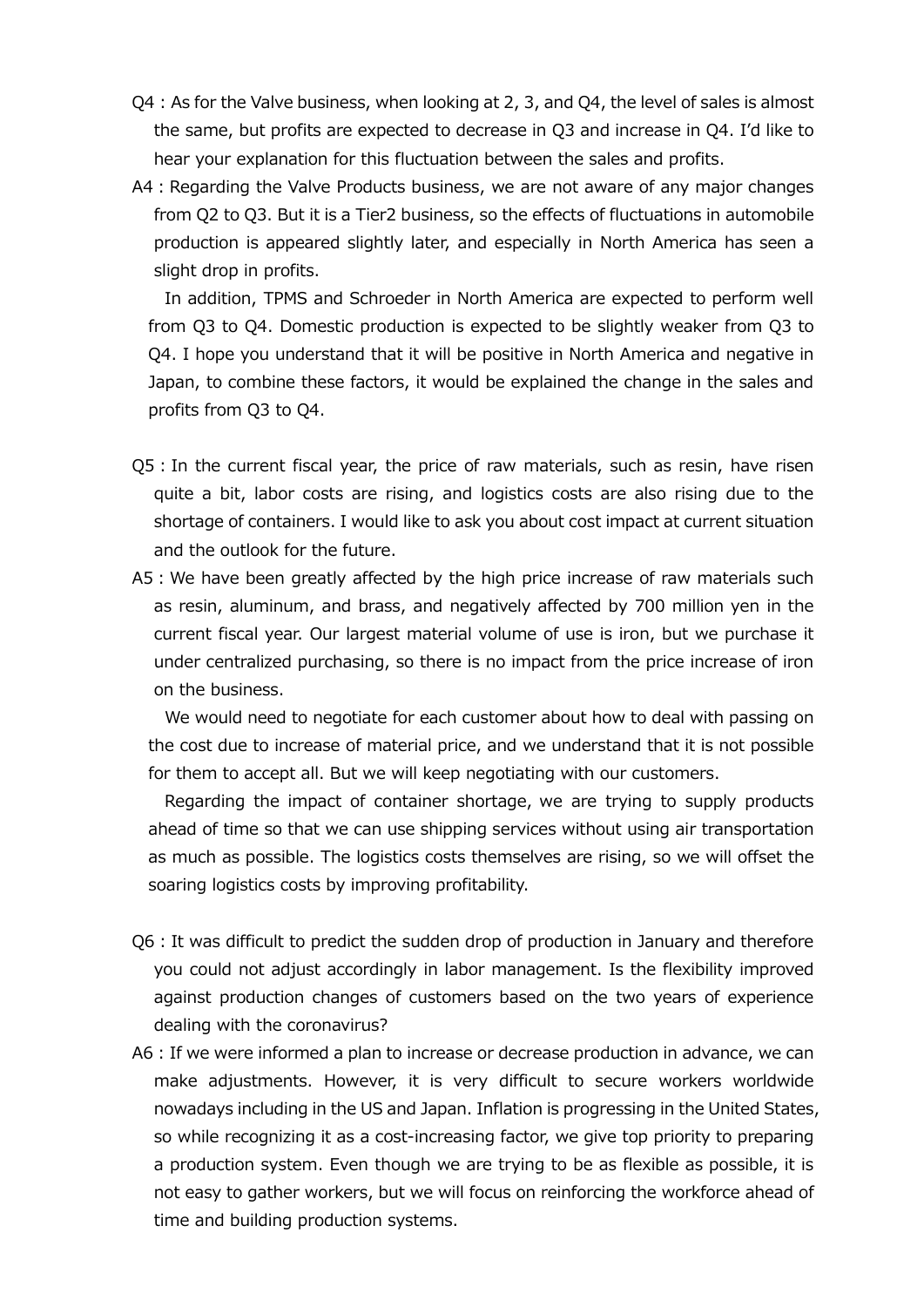- Q4 : As for the Valve business, when looking at 2, 3, and Q4, the level of sales is almost the same, but profits are expected to decrease in Q3 and increase in Q4. I'd like to hear your explanation for this fluctuation between the sales and profits.
- A4 : Regarding the Valve Products business, we are not aware of any major changes from Q2 to Q3. But it is a Tier2 business, so the effects of fluctuations in automobile production is appeared slightly later, and especially in North America has seen a slight drop in profits.

In addition, TPMS and Schroeder in North America are expected to perform well from Q3 to Q4. Domestic production is expected to be slightly weaker from Q3 to Q4. I hope you understand that it will be positive in North America and negative in Japan, to combine these factors, it would be explained the change in the sales and profits from Q3 to Q4.

- Q5:In the current fiscal year, the price of raw materials, such as resin, have risen quite a bit, labor costs are rising, and logistics costs are also rising due to the shortage of containers. I would like to ask you about cost impact at current situation and the outlook for the future.
- A5 : We have been greatly affected by the high price increase of raw materials such as resin, aluminum, and brass, and negatively affected by 700 million yen in the current fiscal year. Our largest material volume of use is iron, but we purchase it under centralized purchasing, so there is no impact from the price increase of iron on the business.

We would need to negotiate for each customer about how to deal with passing on the cost due to increase of material price, and we understand that it is not possible for them to accept all. But we will keep negotiating with our customers.

Regarding the impact of container shortage, we are trying to supply products ahead of time so that we can use shipping services without using air transportation as much as possible. The logistics costs themselves are rising, so we will offset the soaring logistics costs by improving profitability.

- Q6:It was difficult to predict the sudden drop of production in January and therefore you could not adjust accordingly in labor management. Is the flexibility improved against production changes of customers based on the two years of experience dealing with the coronavirus?
- A6:If we were informed a plan to increase or decrease production in advance, we can make adjustments. However, it is very difficult to secure workers worldwide nowadays including in the US and Japan. Inflation is progressing in the United States, so while recognizing it as a cost-increasing factor, we give top priority to preparing a production system. Even though we are trying to be as flexible as possible, it is not easy to gather workers, but we will focus on reinforcing the workforce ahead of time and building production systems.